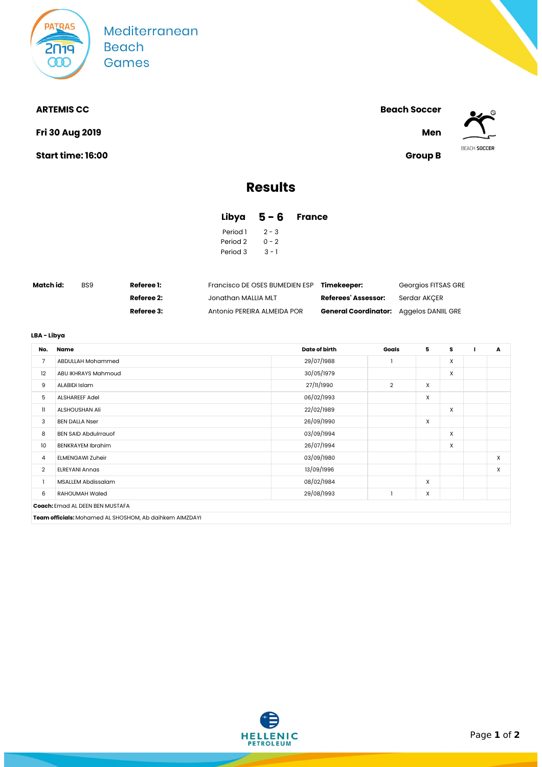

**Fri 30 Aug 2019 Men**

**Start time: 16:00 Group B**

**ARTEMIS CC Beach Soccer**



# **Results**

## **Libya 5 - 6 France**

| Period 1 | $2 - 3$ |
|----------|---------|
| Period 2 | በ – 2   |
| Period 3 | $3 - 1$ |

| Match id: | BS <sub>9</sub> | <b>Referee 1:</b> | Francisco DE OSES BUMEDIEN ESP | Timekeeper:                                    | Georgios FITSAS GRE |  |
|-----------|-----------------|-------------------|--------------------------------|------------------------------------------------|---------------------|--|
|           |                 | Referee 2:        | Jonathan MALLIA MLT            | Referees' Assessor:                            | Serdar AKCER        |  |
|           |                 | Referee 3:        | Antonio PEREIRA ALMEIDA POR    | <b>General Coordinator:</b> Aggelos DANIIL GRE |                     |  |

## **LBA - Libya**

| No.            | Name                                                    | Date of birth | Goals          | 5 | s | A |
|----------------|---------------------------------------------------------|---------------|----------------|---|---|---|
| $\overline{7}$ | ABDULLAH Mohammed                                       | 29/07/1988    |                |   | X |   |
| 12             | ABU IKHRAYS Mahmoud                                     | 30/05/1979    |                |   | X |   |
| 9              | ALABIDI Islam                                           | 27/11/1990    | $\overline{2}$ | X |   |   |
| 5              | <b>ALSHAREEF Adel</b>                                   | 06/02/1993    |                | X |   |   |
| 11             | ALSHOUSHAN Ali                                          | 22/02/1989    |                |   | X |   |
| 3              | <b>BEN DALLA Nser</b>                                   | 26/09/1990    |                | X |   |   |
| 8              | <b>BEN SAID Abdulrrauof</b>                             | 03/09/1994    |                |   | X |   |
| 10             | <b>BENKRAYEM Ibrahim</b>                                | 26/07/1994    |                |   | X |   |
| 4              | <b>ELMENGAWI Zuheir</b>                                 | 03/09/1980    |                |   |   | X |
| $\overline{2}$ | <b>ELREYANI Annas</b>                                   | 13/09/1996    |                |   |   | X |
|                | <b>MSALLEM Abdissalam</b>                               | 08/02/1984    |                | X |   |   |
| 6              | <b>RAHOUMAH Waled</b>                                   | 29/08/1993    |                | X |   |   |
|                | Coach: Emad AL DEEN BEN MUSTAFA                         |               |                |   |   |   |
|                | Team officials: Mohamed AL SHOSHOM, Ab daihkem AIMZDAYI |               |                |   |   |   |